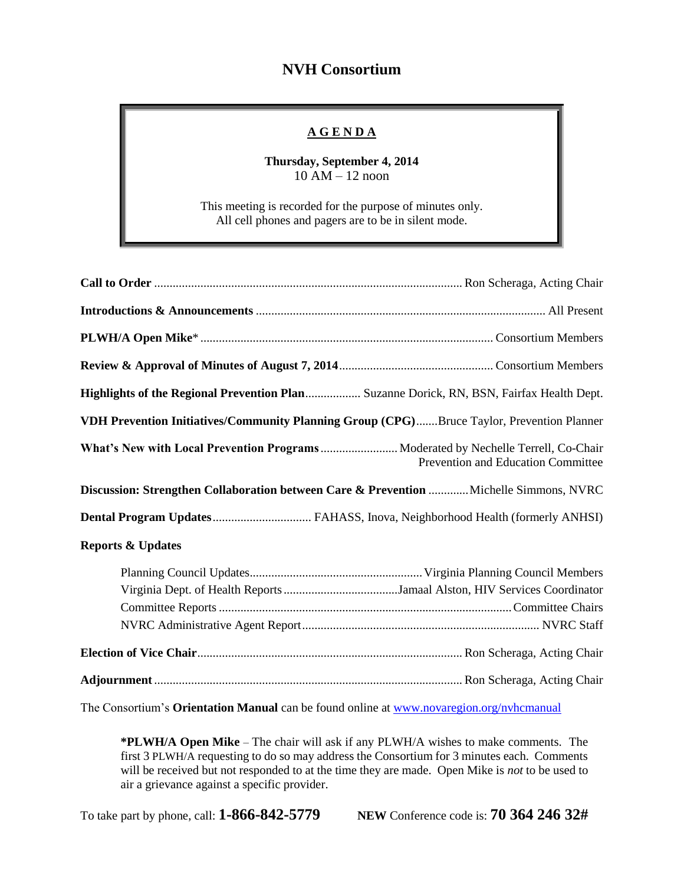## **NVH Consortium**

## **A G E N D A**

**Thursday, September 4, 2014** 10 AM – 12 noon

This meeting is recorded for the purpose of minutes only. All cell phones and pagers are to be in silent mode.

| Highlights of the Regional Prevention Plan Suzanne Dorick, RN, BSN, Fairfax Health Dept.  |                                    |  |  |  |
|-------------------------------------------------------------------------------------------|------------------------------------|--|--|--|
| VDH Prevention Initiatives/Community Planning Group (CPG)Bruce Taylor, Prevention Planner |                                    |  |  |  |
| What's New with Local Prevention Programs  Moderated by Nechelle Terrell, Co-Chair        | Prevention and Education Committee |  |  |  |
| Discussion: Strengthen Collaboration between Care & Prevention  Michelle Simmons, NVRC    |                                    |  |  |  |
| Dental Program Updates FAHASS, Inova, Neighborhood Health (formerly ANHSI)                |                                    |  |  |  |
| <b>Reports &amp; Updates</b>                                                              |                                    |  |  |  |
|                                                                                           |                                    |  |  |  |
|                                                                                           |                                    |  |  |  |
|                                                                                           |                                    |  |  |  |

The Consortium's **Orientation Manual** can be found online at [www.novaregion.org/nvhcmanual](http://www.novaregion.org/nvhcmanual)

**\*PLWH/A Open Mike** – The chair will ask if any PLWH/A wishes to make comments. The first 3 PLWH/A requesting to do so may address the Consortium for 3 minutes each. Comments will be received but not responded to at the time they are made. Open Mike is *not* to be used to air a grievance against a specific provider.

To take part by phone, call: **1-866-842-5779 NEW** Conference code is: **70 364 246 32#**